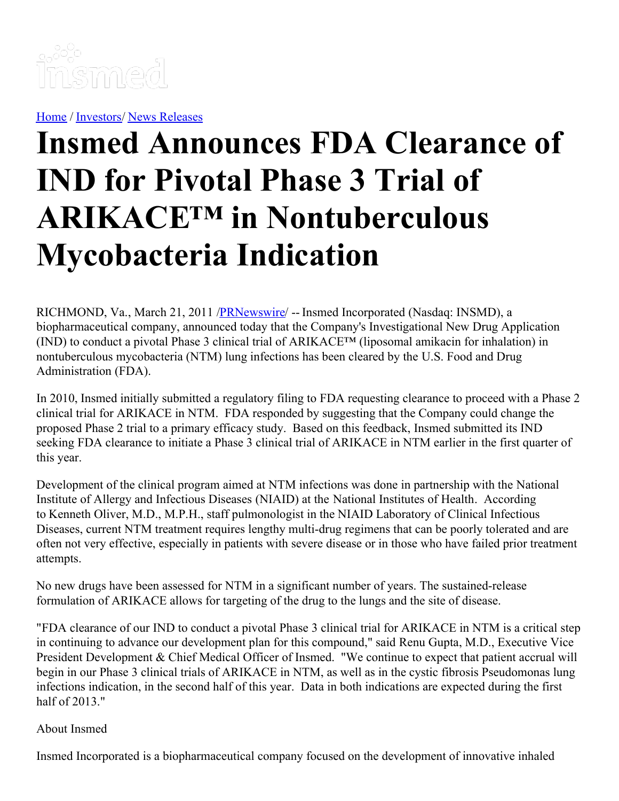

[Home](https://insmed.com/) / [Investors](https://investor.insmed.com/index)/ News [Releases](https://investor.insmed.com/releases)

# **Insmed Announces FDA Clearance of IND for Pivotal Phase 3 Trial of ARIKACE™ in Nontuberculous Mycobacteria Indication**

RICHMOND, Va., March 21, 2011 [/PRNewswire](http://www.prnewswire.com/)/ -- Insmed Incorporated (Nasdaq: INSMD), a biopharmaceutical company, announced today that the Company's Investigational New Drug Application (IND) to conduct a pivotal Phase 3 clinical trial of ARIKACE™ (liposomal amikacin for inhalation) in nontuberculous mycobacteria (NTM) lung infections has been cleared by the U.S. Food and Drug Administration (FDA).

In 2010, Insmed initially submitted a regulatory filing to FDA requesting clearance to proceed with a Phase 2 clinical trial for ARIKACE in NTM. FDA responded by suggesting that the Company could change the proposed Phase 2 trial to a primary efficacy study. Based on this feedback, Insmed submitted its IND seeking FDA clearance to initiate a Phase 3 clinical trial of ARIKACE in NTM earlier in the first quarter of this year.

Development of the clinical program aimed at NTM infections was done in partnership with the National Institute of Allergy and Infectious Diseases (NIAID) at the National Institutes of Health. According to Kenneth Oliver, M.D., M.P.H., staff pulmonologist in the NIAID Laboratory of Clinical Infectious Diseases, current NTM treatment requires lengthy multi-drug regimens that can be poorly tolerated and are often not very effective, especially in patients with severe disease or in those who have failed prior treatment attempts.

No new drugs have been assessed for NTM in a significant number of years. The sustained-release formulation of ARIKACE allows for targeting of the drug to the lungs and the site of disease.

"FDA clearance of our IND to conduct a pivotal Phase 3 clinical trial for ARIKACE in NTM is a critical step in continuing to advance our development plan for this compound," said Renu Gupta, M.D., Executive Vice President Development & Chief Medical Officer of Insmed. "We continue to expect that patient accrual will begin in our Phase 3 clinical trials of ARIKACE in NTM, as well as in the cystic fibrosis Pseudomonas lung infections indication, in the second half of this year. Data in both indications are expected during the first half of 2013."

## About Insmed

Insmed Incorporated is a biopharmaceutical company focused on the development of innovative inhaled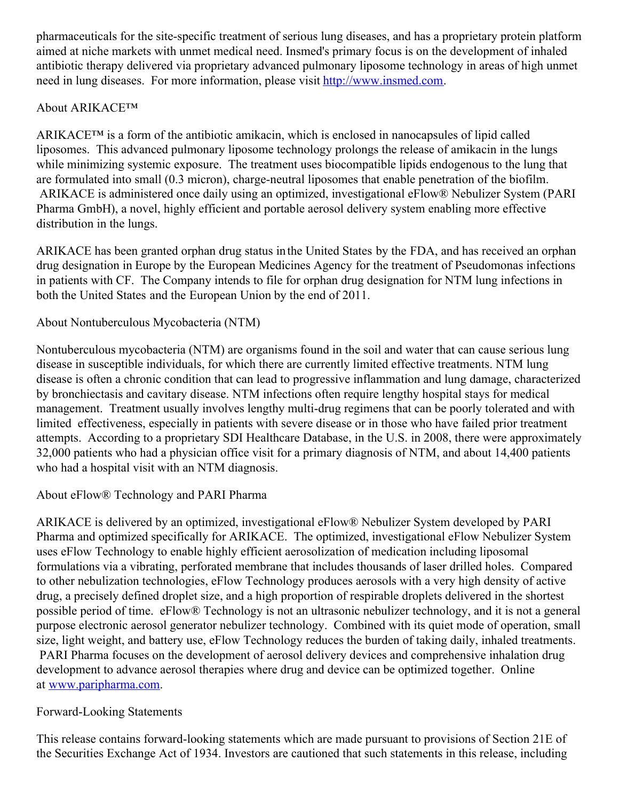pharmaceuticals for the site-specific treatment of serious lung diseases, and has a proprietary protein platform aimed at niche markets with unmet medical need. Insmed's primary focus is on the development of inhaled antibiotic therapy delivered via proprietary advanced pulmonary liposome technology in areas of high unmet need in lung diseases. For more information, please visit [http://www.insmed.com](http://www.insmed.com/).

## About ARIKACE™

ARIKACE™ is a form of the antibiotic amikacin, which is enclosed in nanocapsules of lipid called liposomes. This advanced pulmonary liposome technology prolongs the release of amikacin in the lungs while minimizing systemic exposure. The treatment uses biocompatible lipids endogenous to the lung that are formulated into small (0.3 micron), charge-neutral liposomes that enable penetration of the biofilm. ARIKACE is administered once daily using an optimized, investigational eFlow® Nebulizer System (PARI Pharma GmbH), a novel, highly efficient and portable aerosol delivery system enabling more effective distribution in the lungs.

ARIKACE has been granted orphan drug status inthe United States by the FDA, and has received an orphan drug designation in Europe by the European Medicines Agency for the treatment of Pseudomonas infections in patients with CF. The Company intends to file for orphan drug designation for NTM lung infections in both the United States and the European Union by the end of 2011.

### About Nontuberculous Mycobacteria (NTM)

Nontuberculous mycobacteria (NTM) are organisms found in the soil and water that can cause serious lung disease in susceptible individuals, for which there are currently limited effective treatments. NTM lung disease is often a chronic condition that can lead to progressive inflammation and lung damage, characterized by bronchiectasis and cavitary disease. NTM infections often require lengthy hospital stays for medical management. Treatment usually involves lengthy multi-drug regimens that can be poorly tolerated and with limited effectiveness, especially in patients with severe disease or in those who have failed prior treatment attempts. According to a proprietary SDI Healthcare Database, in the U.S. in 2008, there were approximately 32,000 patients who had a physician office visit for a primary diagnosis of NTM, and about 14,400 patients who had a hospital visit with an NTM diagnosis.

## About eFlow® Technology and PARI Pharma

ARIKACE is delivered by an optimized, investigational eFlow® Nebulizer System developed by PARI Pharma and optimized specifically for ARIKACE. The optimized, investigational eFlow Nebulizer System uses eFlow Technology to enable highly efficient aerosolization of medication including liposomal formulations via a vibrating, perforated membrane that includes thousands of laser drilled holes. Compared to other nebulization technologies, eFlow Technology produces aerosols with a very high density of active drug, a precisely defined droplet size, and a high proportion of respirable droplets delivered in the shortest possible period of time. eFlow® Technology is not an ultrasonic nebulizer technology, and it is not a general purpose electronic aerosol generator nebulizer technology. Combined with its quiet mode of operation, small size, light weight, and battery use, eFlow Technology reduces the burden of taking daily, inhaled treatments. PARI Pharma focuses on the development of aerosol delivery devices and comprehensive inhalation drug development to advance aerosol therapies where drug and device can be optimized together. Online at [www.paripharma.com](http://www.paripharma.com/).

#### Forward-Looking Statements

This release contains forward-looking statements which are made pursuant to provisions of Section 21E of the Securities Exchange Act of 1934. Investors are cautioned that such statements in this release, including